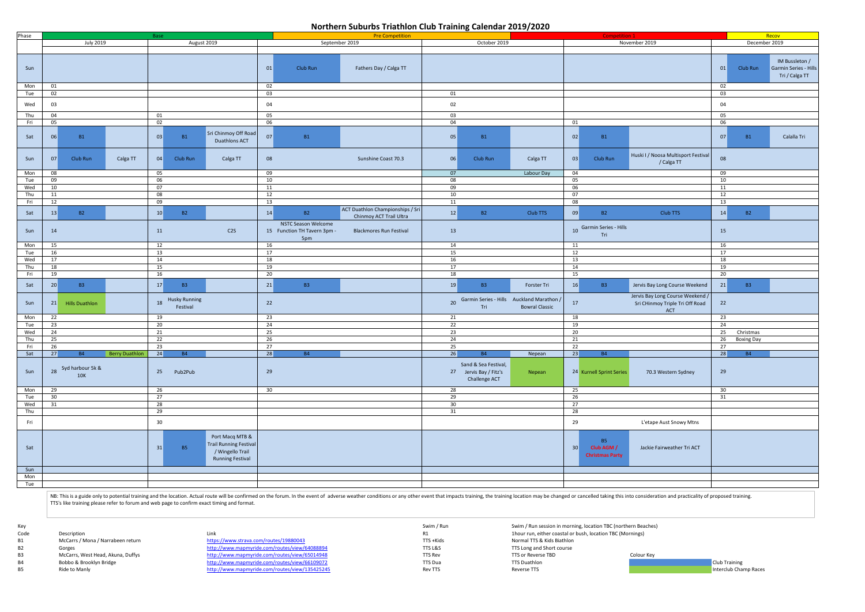## **Northern Suburbs Triathlon Club Training Calendar 2019/2020 Northern Suburbs Triathlon Club Training Calendar 2019/2020**

Key Swim / Run Swim / Run session in morning, location TBC (northern Beaches) Code Description Description Code Description Code Description TBC (Mornings)<br>
R1 1hour run, either coastal or bush, location TBC (Mornings)<br>
B1 1115 + Kids Normal TTS & Kids Biathlon Normal TTS & Kids Biathlon B3 McCarrs, West Head, Akuna, Duffys <http://www.mapmyride.com/routes/view/65014948> TTS Rev TTS Rev TTS or Reverse TBD Colour Key B4 Bobbo & Brooklyn Bridge <http://www.mapmyride.com/routes/view/66109072> TTS Dua TTS Dua TTS Duathlon Club Training<br>B5 Ride to Manly http://www.mapmyride.com/routes/view/135425245 Rev TTS New TTS New TTS Reverse TTS Revers

| Phase      |          |                                |                       | Base                         |                                                                                                 |                 |                                                           | <b>Pre Competition</b>                                      |          |                                                                 |                       |          | Competition 1                                     |                                                                                   |          |                           | Recov                                                     |
|------------|----------|--------------------------------|-----------------------|------------------------------|-------------------------------------------------------------------------------------------------|-----------------|-----------------------------------------------------------|-------------------------------------------------------------|----------|-----------------------------------------------------------------|-----------------------|----------|---------------------------------------------------|-----------------------------------------------------------------------------------|----------|---------------------------|-----------------------------------------------------------|
|            |          | <b>July 2019</b>               |                       |                              | August 2019                                                                                     |                 | September 2019                                            |                                                             |          | October 2019                                                    |                       |          |                                                   | November 2019                                                                     |          | December 2019             |                                                           |
| Sun        |          |                                |                       |                              |                                                                                                 | 01              | Club Run                                                  | Fathers Day / Calga TT                                      |          |                                                                 |                       |          |                                                   |                                                                                   | 01       | Club Run                  | IM Bussleton /<br>Garmin Series - Hills<br>Tri / Calga TT |
| Mon        | 01       |                                |                       |                              |                                                                                                 | 02              |                                                           |                                                             |          |                                                                 |                       |          |                                                   |                                                                                   | 02       |                           |                                                           |
| Tue        | 02       |                                |                       |                              |                                                                                                 | 03              |                                                           |                                                             | 01       |                                                                 |                       |          |                                                   |                                                                                   | 03       |                           |                                                           |
| Wed        | 03       |                                |                       |                              |                                                                                                 | 04              |                                                           |                                                             | 02       |                                                                 |                       |          |                                                   |                                                                                   | 04       |                           |                                                           |
| Thu        | 04       |                                |                       | 01                           |                                                                                                 | 05              |                                                           |                                                             | 03       |                                                                 |                       |          |                                                   |                                                                                   | 05       |                           |                                                           |
| Fri        | 05       |                                |                       | 02                           |                                                                                                 | 06              |                                                           |                                                             | 04       |                                                                 |                       | 01       |                                                   |                                                                                   | 06       |                           |                                                           |
| Sat        | 06       | <b>B1</b>                      |                       | 03<br>B1                     | Sri Chinmoy Off Road<br>Duathlons ACT                                                           | 07              | <b>B1</b>                                                 |                                                             | 05       | <b>B1</b>                                                       |                       | 02       | <b>B1</b>                                         |                                                                                   | 07       | <b>B1</b>                 | Calalla Tri                                               |
| Sun        | 07       | Club Run                       | Calga TT              | 04<br>Club Run               | Calga TT                                                                                        | 08              |                                                           | Sunshine Coast 70.3                                         | 06       | Club Run                                                        | Calga TT              | 03       | Club Run                                          | Huski I / Noosa Multisport Festival<br>/ Calga TT                                 | 08       |                           |                                                           |
| Mon        | 08       |                                |                       | 05                           |                                                                                                 | 09              |                                                           |                                                             | 07       |                                                                 | Labour Day            | 04       |                                                   |                                                                                   | 09       |                           |                                                           |
| Tue        | 09       |                                |                       | 06                           |                                                                                                 | 10              |                                                           |                                                             | 08       |                                                                 |                       | 05       |                                                   |                                                                                   | 10       |                           |                                                           |
| Wed        | 10       |                                |                       | 07                           |                                                                                                 | 11              |                                                           |                                                             | 09       |                                                                 |                       | 06       |                                                   |                                                                                   | 11       |                           |                                                           |
| Thu        | 11       |                                |                       | 08                           |                                                                                                 | 12              |                                                           |                                                             | 10       |                                                                 |                       | 07       |                                                   |                                                                                   | 12       |                           |                                                           |
| Fri        | 12       |                                |                       | 09                           |                                                                                                 | 13              |                                                           |                                                             | 11       |                                                                 |                       | 08       |                                                   |                                                                                   | 13       |                           |                                                           |
| Sat        | 13       | <b>B2</b>                      |                       | 10<br>$-B2$                  |                                                                                                 | 14              | <b>B2</b>                                                 | ACT Duathlon Championships / Sri<br>Chinmoy ACT Trail Ultra | 12       | <b>B2</b>                                                       | Club TTS              | 09       | <b>B2</b>                                         | Club TTS                                                                          | 14       | $-B2$                     |                                                           |
| Sun        | 14       |                                |                       | 11                           | C2S                                                                                             |                 | NSTC Season Welcome<br>15 Function TH Tavern 3pm -<br>5pm | <b>Blackmores Run Festival</b>                              | 13       |                                                                 |                       |          | 10 Garmin Series - Hills<br>Tri                   |                                                                                   | 15       |                           |                                                           |
| Mon        | 15       |                                |                       | 12                           |                                                                                                 | 16              |                                                           |                                                             | 14       |                                                                 |                       | 11       |                                                   |                                                                                   | 16       |                           |                                                           |
| Tue        | 16       |                                |                       | 13                           |                                                                                                 | 17              |                                                           |                                                             | 15       |                                                                 |                       | 12       |                                                   |                                                                                   | 17       |                           |                                                           |
|            |          |                                |                       |                              |                                                                                                 |                 |                                                           |                                                             |          |                                                                 |                       |          |                                                   |                                                                                   |          |                           |                                                           |
| Wed<br>Thu | 17<br>18 |                                |                       | 14<br>15                     |                                                                                                 | 18<br>19        |                                                           |                                                             | 16<br>17 |                                                                 |                       | 13<br>14 |                                                   |                                                                                   | 18<br>19 |                           |                                                           |
|            |          |                                |                       |                              |                                                                                                 |                 |                                                           |                                                             |          |                                                                 |                       |          |                                                   |                                                                                   |          |                           |                                                           |
| Fri        | 19       |                                |                       | 16                           |                                                                                                 | 20              |                                                           |                                                             | 18       |                                                                 |                       | 15       |                                                   |                                                                                   | 20       |                           |                                                           |
| Sat        | 20       | <b>B3</b>                      |                       | 17<br><b>B3</b>              |                                                                                                 | 21              | <b>B3</b>                                                 |                                                             | 19       | <b>B3</b>                                                       | Forster Tri           | 16       | <b>B3</b>                                         | Jervis Bay Long Course Weekend                                                    | 21       | <b>B3</b>                 |                                                           |
| Sun        | 21       | <b>Hills Duathlon</b>          |                       | 18 Husky Running<br>Festival |                                                                                                 | 22              |                                                           |                                                             |          | 20 Garmin Series - Hills Auckland Marathon /<br>Tri             | <b>Bowral Classic</b> | 17       |                                                   | Jervis Bay Long Course Weekend /<br>Sri CHinmoy Triple Tri Off Road<br><b>ACT</b> | 22       |                           |                                                           |
| Mon        | 22       |                                |                       | 19                           |                                                                                                 | 23              |                                                           |                                                             | 21       |                                                                 |                       | 18       |                                                   |                                                                                   | 23       |                           |                                                           |
| Tue        | 23       |                                |                       | 20                           |                                                                                                 | 24              |                                                           |                                                             | 22       |                                                                 |                       | 19       |                                                   |                                                                                   | 24       |                           |                                                           |
| Wed        | 24       |                                |                       | 21                           |                                                                                                 | 25              |                                                           |                                                             | 23       |                                                                 |                       | 20       |                                                   |                                                                                   |          | $\overline{25}$ Christmas |                                                           |
| Thu        | 25       |                                |                       | 22                           |                                                                                                 | 26              |                                                           |                                                             | 24       |                                                                 |                       | 21       |                                                   |                                                                                   |          | 26 Boxing Day             |                                                           |
| Fri        | 26       |                                |                       | 23                           |                                                                                                 | 27              |                                                           |                                                             | 25       |                                                                 |                       | 22       |                                                   |                                                                                   | 27       |                           |                                                           |
| Sat        | 27       | <b>B4</b>                      | <b>Berry Duathlon</b> | 24<br><b>B4</b>              |                                                                                                 | $\boxed{28}$    | <b>B4</b>                                                 |                                                             | 26       | <b>B4</b>                                                       | Nepean                | 23       | <b>B4</b>                                         |                                                                                   |          | $28$ B4                   |                                                           |
| Sun        |          | Syd harbour 5k &<br><b>10K</b> |                       | 25 Pub2Pub                   |                                                                                                 | 29              |                                                           |                                                             |          | Sand & Sea Festival,<br>27 Jervis Bay / Fitz's<br>Challenge ACT | Nepean                |          | 24 Kurnell Sprint Series                          | 70.3 Western Sydney                                                               | 29       |                           |                                                           |
| Mon        | 29       |                                |                       | 26                           |                                                                                                 | 30 <sup>°</sup> |                                                           |                                                             | 28       |                                                                 |                       | 25       |                                                   |                                                                                   | 30       |                           |                                                           |
| Tue<br>Wed | 30       |                                |                       | 27                           |                                                                                                 |                 |                                                           |                                                             | 29       |                                                                 |                       | 26       |                                                   |                                                                                   | 31       |                           |                                                           |
|            | 31       |                                |                       | 28                           |                                                                                                 |                 |                                                           |                                                             | 30       |                                                                 |                       | 27       |                                                   |                                                                                   |          |                           |                                                           |
| Thu        |          |                                |                       | 29                           |                                                                                                 |                 |                                                           |                                                             | 31       |                                                                 |                       | 28       |                                                   |                                                                                   |          |                           |                                                           |
| Fri        |          |                                |                       | 30 <sup>°</sup>              |                                                                                                 |                 |                                                           |                                                             |          |                                                                 |                       | 29       |                                                   | L'etape Aust Snowy Mtns                                                           |          |                           |                                                           |
| Sat        |          |                                |                       | <b>B5</b><br>31              | Port Macq MTB &<br><b>Trail Running Festival</b><br>/ Wingello Trail<br><b>Running Festival</b> |                 |                                                           |                                                             |          |                                                                 |                       | 30       | <b>B5</b><br>Club AGM /<br><b>Christmas Party</b> | Jackie Fairweather Tri ACT                                                        |          |                           |                                                           |
| Sun        |          |                                |                       |                              |                                                                                                 |                 |                                                           |                                                             |          |                                                                 |                       |          |                                                   |                                                                                   |          |                           |                                                           |
| Mon        |          |                                |                       |                              |                                                                                                 |                 |                                                           |                                                             |          |                                                                 |                       |          |                                                   |                                                                                   |          |                           |                                                           |
| Tue        |          |                                |                       |                              |                                                                                                 |                 |                                                           |                                                             |          |                                                                 |                       |          |                                                   |                                                                                   |          |                           |                                                           |
|            |          |                                |                       |                              |                                                                                                 |                 |                                                           |                                                             |          |                                                                 |                       |          |                                                   |                                                                                   |          |                           |                                                           |

NB: This is a guide only to potential training and the location. Actual route will be confirmed on the forum. In the event of adverse weather conditions or any other event that impacts training, the training location may b TTS's like training please refer to forum and web page to confirm exact timing and format.

B1 McCarrs / Mona / Narrabeen return <https://www.strava.com/routes/19880043> TTS +Kids Normal TTS & Kids Biathlon B2 Gorges Gorges <http://www.mapmyride.com/routes/view/64088894> TTS L&S TTS L&S TTS Long and Short course

http://www.mapmyride.com/routes/view/135425245